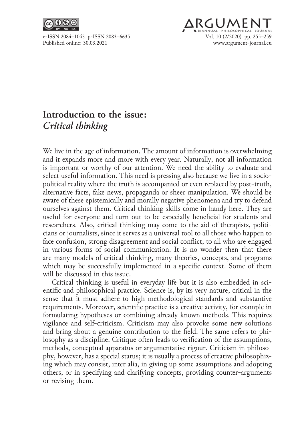



## **Introduction to the issue:**  *Critical thinking*

We live in the age of information. The amount of information is overwhelming and it expands more and more with every year. Naturally, not all information is important or worthy of our attention. We need the ability to evaluate and select useful information. This need is pressing also because we live in a sociopolitical reality where the truth is accompanied or even replaced by post-truth, alternative facts, fake news, propaganda or sheer manipulation. We should be aware of these epistemically and morally negative phenomena and try to defend ourselves against them. Critical thinking skills come in handy here. They are useful for everyone and turn out to be especially beneficial for students and researchers. Also, critical thinking may come to the aid of therapists, politicians or journalists, since it serves as a universal tool to all those who happen to face confusion, strong disagreement and social conflict, to all who are engaged in various forms of social communication. It is no wonder then that there are many models of critical thinking, many theories, concepts, and programs which may be successfully implemented in a specific context. Some of them will be discussed in this issue.

Critical thinking is useful in everyday life but it is also embedded in scientific and philosophical practice. Science is, by its very nature, critical in the sense that it must adhere to high methodological standards and substantive requirements. Moreover, scientific practice is a creative activity, for example in formulating hypotheses or combining already known methods. This requires vigilance and self-criticism. Criticism may also provoke some new solutions and bring about a genuine contribution to the field. The same refers to philosophy as a discipline. Critique often leads to verification of the assumptions, methods, conceptual apparatus or argumentative rigour. Criticism in philosophy, however, has a special status; it is usually a process of creative philosophiz‑ ing which may consist, inter alia, in giving up some assumptions and adopting others, or in specifying and clarifying concepts, providing counter-arguments or revising them.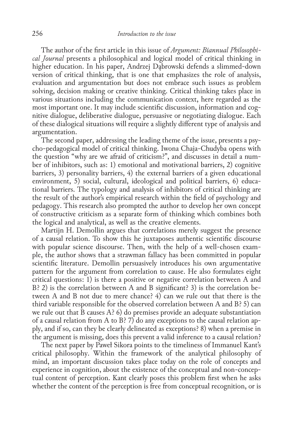The author of the first article in this issue of *Argument: Biannual Philosophical Journal* presents a philosophical and logical model of critical thinking in higher education. In his paper, Andrzej Dąbrowski defends a slimmed-down version of critical thinking, that is one that emphasizes the role of analysis, evaluation and argumentation but does not embrace such issues as problem solving, decision making or creative thinking. Critical thinking takes place in various situations including the communication context, here regarded as the most important one. It may include scientific discussion, information and cognitive dialogue, deliberative dialogue, persuasive or negotiating dialogue. Each of these dialogical situations will require a slightly different type of analysis and argumentation.

The second paper, addressing the leading theme of the issue, presents a psycho-pedagogical model of critical thinking. Iwona Chaja-Chudyba opens with the question "why are we afraid of criticism?", and discusses in detail a num‑ ber of inhibitors, such as: 1) emotional and motivational barriers, 2) cognitive barriers, 3) personality barriers, 4) the external barriers of a given educational environment, 5) social, cultural, ideological and political barriers, 6) educational barriers. The typology and analysis of inhibitors of critical thinking are the result of the author's empirical research within the field of psychology and pedagogy. This research also prompted the author to develop her own concept of constructive criticism as a separate form of thinking which combines both the logical and analytical, as well as the creative elements.

Martijn H. Demollin argues that correlations merely suggest the presence of a causal relation. To show this he juxtaposes authentic scientific discourse with popular science discourse. Then, with the help of a well-chosen example, the author shows that a strawman fallacy has been committed in popular scientific literature. Demollin persuasively introduces his own argumentative pattern for the argument from correlation to cause. He also formulates eight critical questions: 1) is there a positive or negative correlation between A and  $B$ ? 2) is the correlation between A and B significant? 3) is the correlation be– tween A and B not due to mere chance? 4) can we rule out that there is the third variable responsible for the observed correlation between A and B? 5) can we rule out that  $\bar{B}$  causes A? 6) do premises provide an adequate substantiation of a causal relation from A to B? 7) do any exceptions to the causal relation ap‑ ply, and if so, can they be clearly delineated as exceptions? 8) when a premise in the argument is missing, does this prevent a valid inference to a causal relation?

The next paper by Paweł Sikora points to the timeliness of Immanuel Kant's critical philosophy. Within the framework of the analytical philosophy of mind, an important discussion takes place today on the role of concepts and experience in cognition, about the existence of the conceptual and non-conceptual content of perception. Kant clearly poses this problem first when he asks whether the content of the perception is free from conceptual recognition, or is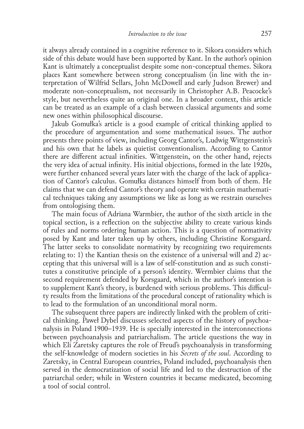it always already contained in a cognitive reference to it. Sikora considers which side of this debate would have been supported by Kant. In the author's opinion Kant is ultimately a conceptualist despite some non-conceptual themes. Sikora places Kant somewhere between strong conceptualism (in line with the in‑ terpretation of Wilfrid Sellars, John McDowell and early Judson Brewer) and moderate non-conceptualism, not necessarily in Christopher A.B. Peacocke's style, but nevertheless quite an original one. In a broader context, this article can be treated as an example of a clash between classical arguments and some new ones within philosophical discourse.

Jakub Gomułka's article is a good example of critical thinking applied to the procedure of argumentation and some mathematical issues. The author presents three points of view, including Georg Cantor's, Ludwig Wittgenstein's and his own that he labels as quietist conventionalism. According to Cantor there are different actual infinities. Wittgenstein, on the other hand, rejects the very idea of actual infinity. His initial objections, formed in the late 1920s, were further enhanced several years later with the charge of the lack of application of Cantor's calculus. Gomułka distances himself from both of them. He claims that we can defend Cantor's theory and operate with certain mathemati‑ cal techniques taking any assumptions we like as long as we restrain ourselves from ontologising them.

The main focus of Adriana Warmbier, the author of the sixth article in the topical section, is a reflection on the subjective ability to create various kinds of rules and norms ordering human action. This is a question of normativity posed by Kant and later taken up by others, including Christine Korsgaard. The latter seeks to consolidate normativity by recognizing two requirements relating to: 1) the Kantian thesis on the existence of a universal will and 2) ac‑ cepting that this universal will is a law of self-constitution and as such constitutes a constitutive principle of a person's identity. Wermbier claims that the second requirement defended by Korsgaard, which in the author's intention is to supplement Kant's theory, is burdened with serious problems. This difficul– ty results from the limitations of the procedural concept of rationality which is to lead to the formulation of an unconditional moral norm.

The subsequent three papers are indirectly linked with the problem of critical thinking. Paweł Dybel discusses selected aspects of the history of psychoanalysis in Poland 1900–1939. He is specially interested in the interconnections between psychoanalysis and patriarchalism. The article questions the way in which Eli Zaretsky captures the role of Freud's psychoanalysis in transforming the self-knowledge of modern societies in his *Secrets of the soul*. According to Zaretsky, in Central European countries, Poland included, psychoanalysis then served in the democratization of social life and led to the destruction of the patriarchal order; while in Western countries it became medicated, becoming a tool of social control.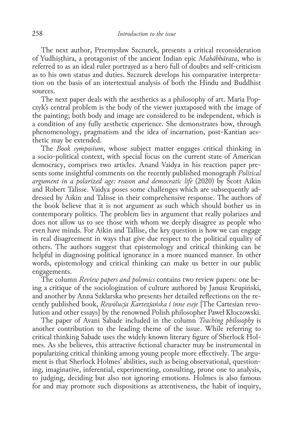The next author, Przemysław Szczurek, presents a critical reconsideration of Yudhiṣṭhira, a protagonist of the ancient Indian epic *Mahābhārata*, who is referred to as an ideal ruler portrayed as a hero full of doubts and self-criticism as to his own status and duties. Szczurek develops his comparative interpretation on the basis of an intertextual analysis of both the Hindu and Buddhist sources.

The next paper deals with the aesthetics as a philosophy of art. Maria Popczyk's central problem is the body of the viewer juxtaposed with the image of the painting; both body and image are considered to be independent, which is a condition of any fully aesthetic experience. She demonstrates how, through phenomenology, pragmatism and the idea of incarnation, post-Kantian aes– thetic may be extended.

The *Book symposium*, whose subject matter engages critical thinking in a socio-political context, with special focus on the current state of American democracy, comprises two articles. Anand Vaidya in his reaction paper pre‑ sents some insightful comments on the recently published monograph *Political argument in a polarized age: reason and democratic life* (2020) by Scott Aikin and Robert Talisse. Vaidya poses some challenges which are subsequently addressed by Aikin and Talisse in their comprehensive response. The authors of the book believe that it is not argument as such which should bother us in contemporary politics. The problem lies in argument that really polarizes and does not allow us to see those with whom we deeply disagree as people who even have minds. For Aikin and Tallise, the key question is how we can engage in real disagreement in ways that give due respect to the political equality of others. The authors suggest that epistemology and critical thinking can be helpful in diagnosing political ignorance in a more nuanced manner. In other words, epistemology and critical thinking can make us better in our public engagements.

The column *Review papers and polemics* contains two review papers: one be‑ ing a critique of the sociologization of culture authored by Janusz Krupiński, and another by Anna Szklarska who presents her detailed reflections on the re‑ cently published book, *Rewolucja Kartezjańska i inne eseje* [The Cartesian revo‑ lution and other essays] by the renowned Polish philosopher Paweł Kłoczowski.

The paper of Avani Sabade included in the column *Teaching philosophy* is another contribution to the leading theme of the issue. While referring to critical thinking Sabade uses the widely known literary figure of Sherlock Holmes. As she believes, this attractive fictional character may be instrumental in popularizing critical thinking among young people more effectively. The argument is that Sherlock Holmes' abilities, such as being observational, questioning, imaginative, inferential, experimenting, consulting, prone one to analysis, to judging, deciding but also not ignoring emotions. Holmes is also famous for and may promote such dispositions as attentiveness, the habit of inquiry,